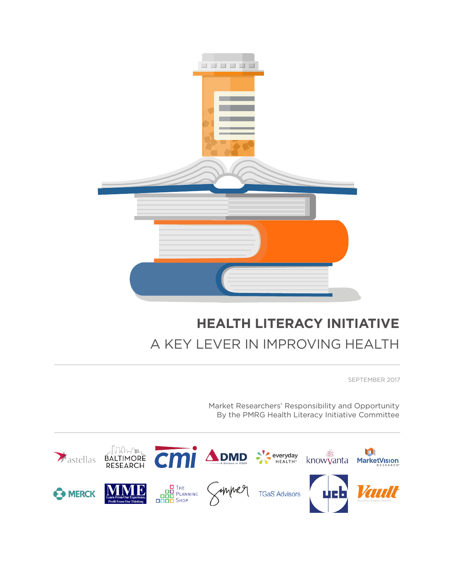

# **HEALTH LITERACY INITIATIVE** A KEY LEVER IN IMPROVING HEALTH

SEPTEMBER 2017

Market Researchers' Responsibility and Opportunity By the PMRG Health Literacy Initiative Committee

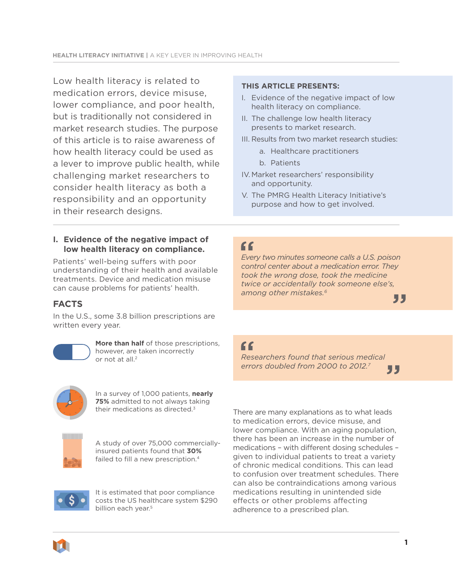Low health literacy is related to medication errors, device misuse, lower compliance, and poor health, but is traditionally not considered in market research studies. The purpose of this article is to raise awareness of how health literacy could be used as a lever to improve public health, while challenging market researchers to consider health literacy as both a responsibility and an opportunity in their research designs.

#### **I. Evidence of the negative impact of low health literacy on compliance.**

Patients' well-being suffers with poor understanding of their health and available treatments. Device and medication misuse can cause problems for patients' health.

## **FACTS**

In the U.S., some 3.8 billion prescriptions are written every year.



**More than half** of those prescriptions, however, are taken incorrectly or not at all.2



In a survey of 1,000 patients, **nearly 75%** admitted to not always taking their medications as directed.<sup>3</sup>



A study of over 75,000 commerciallyinsured patients found that **30%** failed to fill a new prescription.<sup>4</sup>



It is estimated that poor compliance costs the US healthcare system \$290 billion each year.<sup>5</sup>

#### **THIS ARTICLE PRESENTS:**

- I. Evidence of the negative impact of low health literacy on compliance.
- II. The challenge low health literacy presents to market research.
- III. Results from two market research studies:
	- a. Healthcare practitioners
	- b. Patients
- IV. Market researchers' responsibility and opportunity.
- V. The PMRG Health Literacy Initiative's purpose and how to get involved.

# "

*Every two minutes someone calls a U.S. poison control center about a medication error. They took the wrong dose, took the medicine twice or accidentally took someone else's, among other mistakes.6*

"

"

*Researchers found that serious medical errors doubled from 2000 to 2012.7*

"

There are many explanations as to what leads to medication errors, device misuse, and lower compliance. With an aging population, there has been an increase in the number of medications - with different dosing schedules given to individual patients to treat a variety of chronic medical conditions. This can lead to confusion over treatment schedules. There can also be contraindications among various medications resulting in unintended side effects or other problems affecting adherence to a prescribed plan.

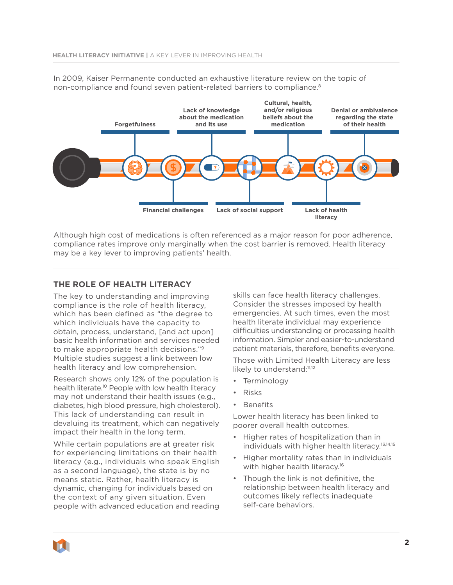

In 2009, Kaiser Permanente conducted an exhaustive literature review on the topic of non-compliance and found seven patient-related barriers to compliance.<sup>8</sup>

Although high cost of medications is often referenced as a major reason for poor adherence, compliance rates improve only marginally when the cost barrier is removed. Health literacy may be a key lever to improving patients' health.

## **THE ROLE OF HEALTH LITERACY**

The key to understanding and improving compliance is the role of health literacy, which has been defined as "the degree to which individuals have the capacity to obtain, process, understand, [and act upon] basic health information and services needed to make appropriate health decisions."9 Multiple studies suggest a link between low health literacy and low comprehension.

Research shows only 12% of the population is health literate.<sup>10</sup> People with low health literacy may not understand their health issues (e.g., diabetes, high blood pressure, high cholesterol). This lack of understanding can result in devaluing its treatment, which can negatively impact their health in the long term.

While certain populations are at greater risk for experiencing limitations on their health literacy (e.g., individuals who speak English as a second language), the state is by no means static. Rather, health literacy is dynamic, changing for individuals based on the context of any given situation. Even people with advanced education and reading

skills can face health literacy challenges. Consider the stresses imposed by health emergencies. At such times, even the most health literate individual may experience difficulties understanding or processing health information. Simpler and easier-to-understand patient materials, therefore, benefits everyone.

Those with Limited Health Literacy are less likely to understand:<sup>11,12</sup>

- Terminology
- Risks
- Benefits

Lower health literacy has been linked to poorer overall health outcomes.

- Higher rates of hospitalization than in individuals with higher health literacy.13,14,15
- Higher mortality rates than in individuals with higher health literacy.<sup>16</sup>
- Though the link is not definitive, the relationship between health literacy and outcomes likely reflects inadequate self-care behaviors.

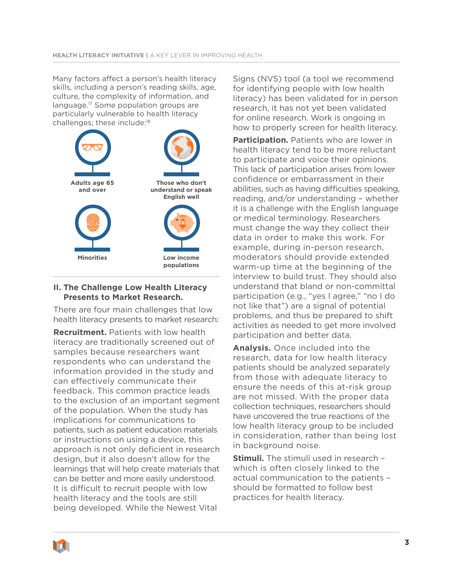Many factors affect a person's health literacy skills, including a person's reading skills, age, culture, the complexity of information, and language.17 Some population groups are particularly vulnerable to health literacy challenges; these include:18



### **II. The Challenge Low Health Literacy Presents to Market Research.**

There are four main challenges that low health literacy presents to market research:

**Recruitment.** Patients with low health literacy are traditionally screened out of samples because researchers want respondents who can understand the information provided in the study and can effectively communicate their feedback. This common practice leads to the exclusion of an important segment of the population. When the study has implications for communications to patients, such as patient education materials or instructions on using a device, this approach is not only deficient in research design, but it also doesn't allow for the learnings that will help create materials that can be better and more easily understood. It is difficult to recruit people with low health literacy and the tools are still being developed. While the Newest Vital

Signs (NVS) tool (a tool we recommend for identifying people with low health literacy) has been validated for in person research, it has not yet been validated for online research. Work is ongoing in how to properly screen for health literacy.

**Participation.** Patients who are lower in health literacy tend to be more reluctant to participate and voice their opinions. This lack of participation arises from lower confidence or embarrassment in their abilities, such as having difficulties speaking, reading, and/or understanding – whether it is a challenge with the English language or medical terminology. Researchers must change the way they collect their data in order to make this work. For example, during in-person research, moderators should provide extended warm-up time at the beginning of the interview to build trust. They should also understand that bland or non-committal participation (e.g., "yes I agree," "no I do not like that") are a signal of potential problems, and thus be prepared to shift activities as needed to get more involved participation and better data.

**Analysis.** Once included into the research, data for low health literacy patients should be analyzed separately from those with adequate literacy to ensure the needs of this at-risk group are not missed. With the proper data collection techniques, researchers should have uncovered the true reactions of the low health literacy group to be included in consideration, rather than being lost in background noise.

**Stimuli.** The stimuli used in research which is often closely linked to the actual communication to the patients – should be formatted to follow best practices for health literacy.

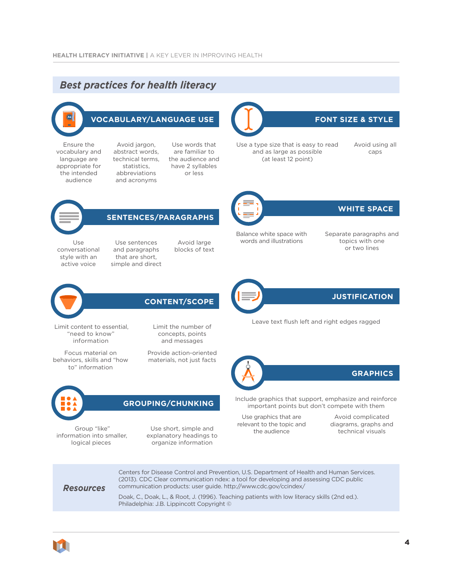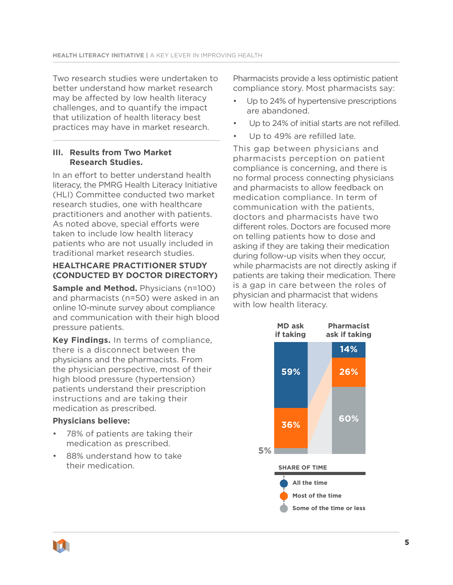Two research studies were undertaken to better understand how market research may be affected by low health literacy challenges, and to quantify the impact that utilization of health literacy best practices may have in market research.

## **III. Results from Two Market Research Studies.**

In an effort to better understand health literacy, the PMRG Health Literacy Initiative (HLI) Committee conducted two market research studies, one with healthcare practitioners and another with patients. As noted above, special efforts were taken to include low health literacy patients who are not usually included in traditional market research studies.

## **HEALTHCARE PRACTITIONER STUDY (CONDUCTED BY DOCTOR DIRECTORY)**

**Sample and Method.** Physicians (n=100) and pharmacists (n=50) were asked in an online 10-minute survey about compliance and communication with their high blood pressure patients.

**Key Findings.** In terms of compliance, there is a disconnect between the physicians and the pharmacists. From the physician perspective, most of their high blood pressure (hypertension) patients understand their prescription instructions and are taking their medication as prescribed.

## **Physicians believe:**

- 78% of patients are taking their medication as prescribed.
- 88% understand how to take their medication.

Pharmacists provide a less optimistic patient compliance story. Most pharmacists say:

- Up to 24% of hypertensive prescriptions are abandoned.
- Up to 24% of initial starts are not refilled.
- Up to 49% are refilled late.

This gap between physicians and pharmacists perception on patient compliance is concerning, and there is no formal process connecting physicians and pharmacists to allow feedback on medication compliance. In term of communication with the patients, doctors and pharmacists have two different roles. Doctors are focused more on telling patients how to dose and asking if they are taking their medication during follow-up visits when they occur, while pharmacists are not directly asking if patients are taking their medication. There is a gap in care between the roles of physician and pharmacist that widens with low health literacy.

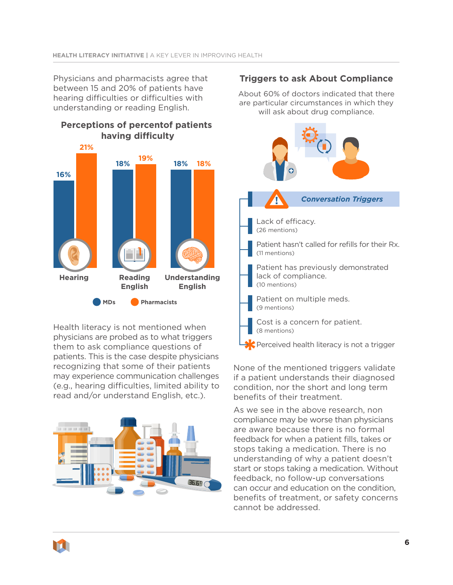Physicians and pharmacists agree that between 15 and 20% of patients have hearing difficulties or difficulties with understanding or reading English.

# **MDs Pharmacists Hearing Reading English Understanding English 16% 21% 18% 18% 18% 19% Perceptions of percentof patients having difficulty**

Health literacy is not mentioned when physicians are probed as to what triggers them to ask compliance questions of patients. This is the case despite physicians recognizing that some of their patients may experience communication challenges (e.g., hearing difficulties, limited ability to read and/or understand English, etc.).



## **Triggers to ask About Compliance**

About 60% of doctors indicated that there are particular circumstances in which they will ask about drug compliance.



None of the mentioned triggers validate if a patient understands their diagnosed condition, nor the short and long term benefits of their treatment.

As we see in the above research, non compliance may be worse than physicians are aware because there is no formal feedback for when a patient fills, takes or stops taking a medication. There is no understanding of why a patient doesn't start or stops taking a medication. Without feedback, no follow-up conversations can occur and education on the condition, benefits of treatment, or safety concerns cannot be addressed.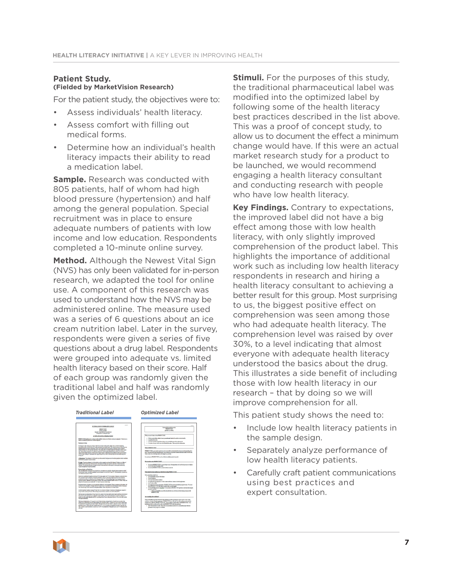#### **Patient Study. (Fielded by MarketVision Research)**

For the patient study, the objectives were to:

- Assess individuals' health literacy.
- Assess comfort with filling out medical forms.
- Determine how an individual's health literacy impacts their ability to read a medication label.

**Sample.** Research was conducted with 805 patients, half of whom had high blood pressure (hypertension) and half among the general population. Special recruitment was in place to ensure adequate numbers of patients with low income and low education. Respondents completed a 10-minute online survey.

**Method.** Although the Newest Vital Sign (NVS) has only been validated for in-person research, we adapted the tool for online use. A component of this research was used to understand how the NVS may be administered online. The measure used was a series of 6 questions about an ice cream nutrition label. Later in the survey, respondents were given a series of five questions about a drug label. Respondents were grouped into adequate vs. limited health literacy based on their score. Half of each group was randomly given the traditional label and half was randomly given the optimized label.



**Stimuli.** For the purposes of this study, the traditional pharmaceutical label was modified into the optimized label by following some of the health literacy best practices described in the list above. This was a proof of concept study, to allow us to document the effect a minimum change would have. If this were an actual market research study for a product to be launched, we would recommend engaging a health literacy consultant and conducting research with people who have low health literacy.

**Key Findings.** Contrary to expectations, the improved label did not have a big effect among those with low health literacy, with only slightly improved comprehension of the product label. This highlights the importance of additional work such as including low health literacy respondents in research and hiring a health literacy consultant to achieving a better result for this group. Most surprising to us, the biggest positive effect on comprehension was seen among those who had adequate health literacy. The comprehension level was raised by over 30%, to a level indicating that almost everyone with adequate health literacy understood the basics about the drug. This illustrates a side benefit of including those with low health literacy in our research – that by doing so we will improve comprehension for all.

This patient study shows the need to:

- Include low health literacy patients in the sample design.
- Separately analyze performance of low health literacy patients.
- Carefully craft patient communications using best practices and expert consultation.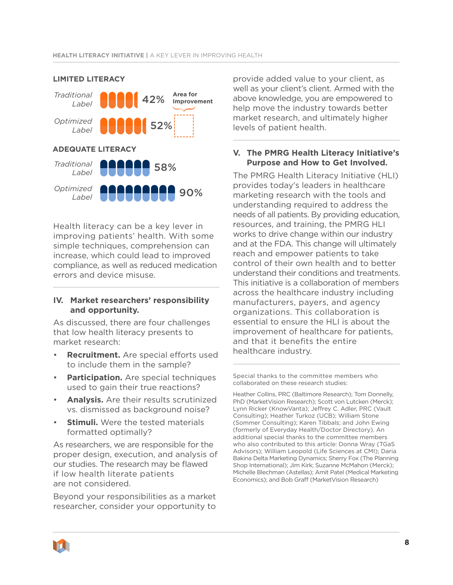

### **LIMITED LITERACY**

Health literacy can be a key lever in improving patients' health. With some simple techniques, comprehension can increase, which could lead to improved compliance, as well as reduced medication errors and device misuse.

#### **IV. Market researchers' responsibility and opportunity.**

As discussed, there are four challenges that low health literacy presents to market research:

- **Recruitment.** Are special efforts used to include them in the sample?
- **Participation.** Are special techniques used to gain their true reactions?
- **Analysis.** Are their results scrutinized vs. dismissed as background noise?
- **Stimuli.** Were the tested materials formatted optimally?

As researchers, we are responsible for the proper design, execution, and analysis of our studies. The research may be flawed if low health literate patients are not considered.

Beyond your responsibilities as a market researcher, consider your opportunity to

provide added value to your client, as well as your client's client. Armed with the above knowledge, you are empowered to help move the industry towards better market research, and ultimately higher levels of patient health.

#### **V. The PMRG Health Literacy Initiative's Purpose and How to Get Involved.**

The PMRG Health Literacy Initiative (HLI) provides today's leaders in healthcare marketing research with the tools and understanding required to address the needs of all patients. By providing education, resources, and training, the PMRG HLI works to drive change within our industry and at the FDA. This change will ultimately reach and empower patients to take control of their own health and to better understand their conditions and treatments. This initiative is a collaboration of members across the healthcare industry including manufacturers, payers, and agency organizations. This collaboration is essential to ensure the HLI is about the improvement of healthcare for patients, and that it benefits the entire healthcare industry.

Special thanks to the committee members who collaborated on these research studies:

Heather Collins, PRC (Baltimore Research); Tom Donnelly, PhD (MarketVision Research); Scott von Lutcken (Merck); Lynn Ricker (KnowVanta); Jeffrey C. Adler, PRC (Vault Consulting); Heather Turkoz (UCB); William Stone (Sommer Consulting); Karen Tibbals; and John Ewing (formerly of Everyday Health/Doctor Directory). An additional special thanks to the committee members who also contributed to this article: Donna Wray (TGaS Advisors); William Leopold (Life Sciences at CMI); Daria Bakina Delta Marketing Dynamics; Sherry Fox (The Planning Shop International); Jim Kirk; Suzanne McMahon (Merck); Michelle Blechman (Astellas); Amit Patel (Medical Marketing Economics); and Bob Graff (MarketVision Research)